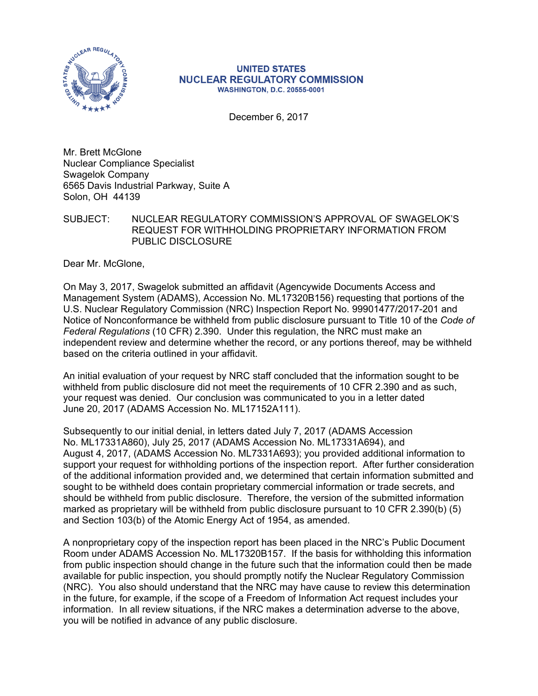

## **UNITED STATES NUCLEAR REGULATORY COMMISSION WASHINGTON, D.C. 20555-0001**

December 6, 2017

Mr. Brett McGlone Nuclear Compliance Specialist Swagelok Company 6565 Davis Industrial Parkway, Suite A Solon, OH 44139

SUBJECT: NUCLEAR REGULATORY COMMISSION'S APPROVAL OF SWAGELOK'S REQUEST FOR WITHHOLDING PROPRIETARY INFORMATION FROM PUBLIC DISCLOSURE

Dear Mr. McGlone,

On May 3, 2017, Swagelok submitted an affidavit (Agencywide Documents Access and Management System (ADAMS), Accession No. ML17320B156) requesting that portions of the U.S. Nuclear Regulatory Commission (NRC) Inspection Report No. 99901477/2017-201 and Notice of Nonconformance be withheld from public disclosure pursuant to Title 10 of the *Code of Federal Regulations* (10 CFR) 2.390. Under this regulation, the NRC must make an independent review and determine whether the record, or any portions thereof, may be withheld based on the criteria outlined in your affidavit.

An initial evaluation of your request by NRC staff concluded that the information sought to be withheld from public disclosure did not meet the requirements of 10 CFR 2.390 and as such, your request was denied. Our conclusion was communicated to you in a letter dated June 20, 2017 (ADAMS Accession No. ML17152A111).

Subsequently to our initial denial, in letters dated July 7, 2017 (ADAMS Accession No. ML17331A860), July 25, 2017 (ADAMS Accession No. ML17331A694), and August 4, 2017, (ADAMS Accession No. ML7331A693); you provided additional information to support your request for withholding portions of the inspection report. After further consideration of the additional information provided and, we determined that certain information submitted and sought to be withheld does contain proprietary commercial information or trade secrets, and should be withheld from public disclosure. Therefore, the version of the submitted information marked as proprietary will be withheld from public disclosure pursuant to 10 CFR 2.390(b) (5) and Section 103(b) of the Atomic Energy Act of 1954, as amended.

A nonproprietary copy of the inspection report has been placed in the NRC's Public Document Room under ADAMS Accession No. ML17320B157. If the basis for withholding this information from public inspection should change in the future such that the information could then be made available for public inspection, you should promptly notify the Nuclear Regulatory Commission (NRC). You also should understand that the NRC may have cause to review this determination in the future, for example, if the scope of a Freedom of Information Act request includes your information. In all review situations, if the NRC makes a determination adverse to the above, you will be notified in advance of any public disclosure.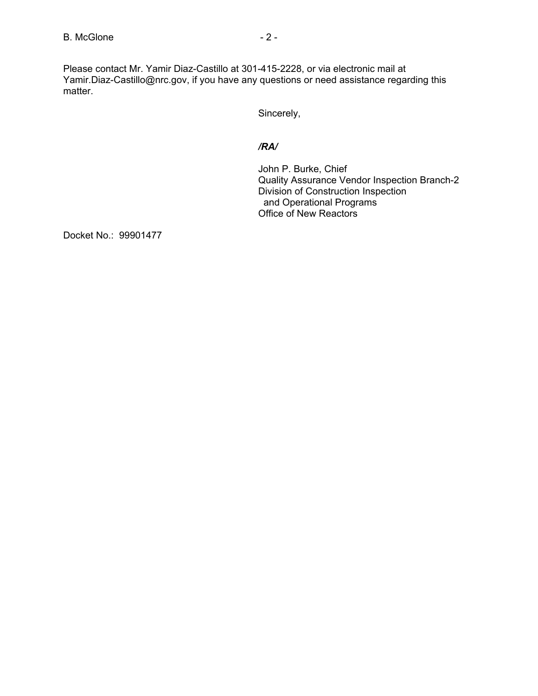Please contact Mr. Yamir Diaz-Castillo at 301-415-2228, or via electronic mail at Yamir.Diaz-Castillo@nrc.gov, if you have any questions or need assistance regarding this matter.

Sincerely,

## */RA/*

John P. Burke, Chief Quality Assurance Vendor Inspection Branch-2 Division of Construction Inspection and Operational Programs Office of New Reactors

Docket No.: 99901477